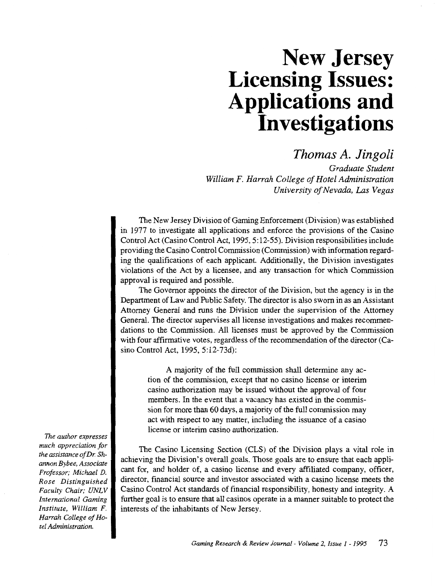# **New Jersey Licensing Issues: Applications and Investigations**

*Thomas A. Jingoli* 

*Graduate Student William F. Harrah College of Hotel Administration University of Nevada, Las Vegas* 

The New Jersey Division of Gaming Enforcement (Division) was established in 1977 to investigate all applications and enforce the provisions of the Casino Control Act (Casino Control Act, 1995, 5:12-55). Division responsibilities include providing the Casino Control Commission (Commission) with information regarding the qualifications of each applicant Additionally, the Division investigates violations of the Act by a licensee, and any transaction for which Commission approval is required and possible.

The Governor appoints the director of the Division, but the agency is in the Department of Law and Public Safety. The director is also sworn in as an Assistant Attorney General and runs the Division under the supervision of the Attorney General. The director supervises all license investigations and makes recommendations to the Commission. All licenses must be approved by the Commission with four affirmative votes, regardless of the recommendation of the director (Casino Control Act, 1995, 5:12-73d):

> A majority of the full commission shall determine any action of the commission, except that no casino license or interim casino authorization may be issued without the approval of four members. In the event that a vacancy has existed in the commission for more than 60 days, a majority of the full commission may act with respect to any matter, including the issuance of a casino license or interim casino authorization.

The Casino Licensing Section (CLS) of the Division plays a vital role in achieving the Division's overall goals. ·Those goals are to ensure that each applicant for, and holder of, a casino license and every affiliated company, officer, director, financial source and investor associated with a casino license meets the Casino Control Act standards of financial responsibility, honesty and integrity. A further goal is to ensure that all casinos operate in a manner suitable to protect the interests of the inhabitants of New Jersey.

*The author expresses much appreciation for the assistance of Dr. Shannon Bybee, Associate Professor; Michael D. Rose Distinguished Faculty Chair; UNLV International Gaming Institute, William* F. *Harrah College of Hotel Administration.*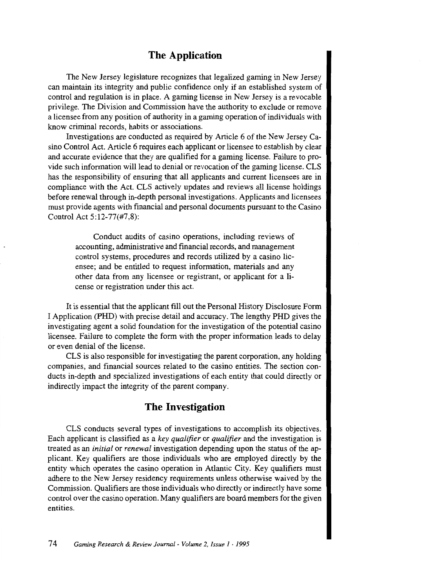## **The Application**

The New Jersey legislature recognizes that legalized gaming in New Jersey can maintain its integrity and public confidence only if an established system of control and regulation is in place. A gaming license in New Jersey is a revocable privilege. The Division and Commission have the authority to exclude or remove a licensee from any position of authority in a gaming operation of individuals with know criminal records, habits or associations.

Investigations are conducted as required by Article 6 of the New Jersey Casino Control Act. Article 6 requires each applicant or licensee to establish by clear and accurate evidence that they are qualified for a gaming license. Failure to provide such information will lead to denial or revocation of the gaming license. CLS has the responsibility of ensuring that all applicants and current licensees are in compliance with the Act. CLS actively updates and reviews all license holdings before renewal through in-depth personal investigations. Applicants and licensees must provide agents with financial and personal documents pursuant to the Casino Control Act 5:12-77(#7,8):

> Conduct audits of casino operations, including reviews of accounting, administrative and financial records, and management control systems, procedures and records utilized by a casino licensee; and be entitled to request information, materials and any other data from any licensee or registrant, or applicant for a license or registration under this act.

It is essential that the applicant fill out the Personal History Disclosure Form I Application (PHD) with precise detail and accuracy. The lengthy PHD gives the investigating agent a solid foundation for the investigation of the potential casino licensee. Failure to complete the form with the proper information leads to delay or even denial of the license.

CLS is also responsible for investigating the parent corporation, any holding companies, and financial sources related to the casino entities. The section conducts in-depth and specialized investigations of each entity that could directly or indirectly impact the integrity of the parent company.

## **The Investigation**

CLS conducts several types of investigations to accomplish its objectives. Each applicant is classified as a *key qualifier* or *qualifier* and the investigation is treated as an *initial* or *renewal* investigation depending upon the status of the applicant. Key qualifiers are those individuals who are employed directly by the entity which operates the casino operation in Atlantic City. Key qualifiers must adhere to the New Jersey residency requirements unless otherwise waived by the Commission. Qualifiers are those individuals who directly or indirectly have some control over the casino operation. Many qualifiers are board members for the given entities.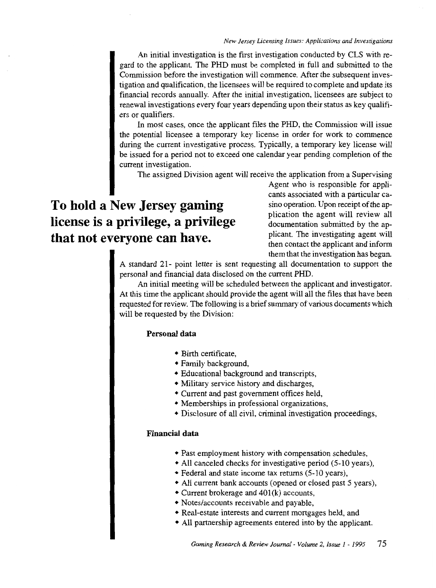An initial investigation is the first investigation conducted by CLS with regard to the applicant. The PHD must be completed in full and submitted to the Commission before the investigation will commence. After the subsequent investigation and qualification, the licensees will be required to complete and update its financial records annually. After the initial investigation, licensees are subject to renewal investigations every four years depending upon their status as key qualifiers or qualifiers.

In most cases, once the applicant files the PHD, the Commission will issue the potential licensee a temporary key license in order for work to commence during the current investigative process. Typically, a temporary key license will be issued for a period not to exceed one calendar year pending completion of the current investigation.

The assigned Division agent will receive the application from a Supervising

# **To hold a New Jersey gaming license is a privilege, a privilege that not everyone can have.**

Agent who is responsible for applicants associated with a particular casino operation. Upon receipt of the application the agent will review all documentation submitted by the applicant. The investigating agent will then contact the applicant and inform them that the investigation has begun.

A standard 21- point letter is sent requesting all documentation to support the personal and financial data disclosed on the current PHD.

An initial meeting will be scheduled between the applicant and investigator. At this time the applicant should provide the agent will all the files that have been requested for review. The following is a brief summary of various documents which will be requested by the Division:

#### **Personal data**

- Birth certificate,
- Family background,
- Educational background and transcripts,
- Military service history and discharges,
- Current and past government offices held,
- Memberships in professional organizations,
- Disclosure of all civil, criminal investigation proceedings,

#### **Financial data**

- Past employment history with compensation schedules,
- All canceled checks for investigative period (5-10 years),
- Federal and state income tax returns (5-10 years),
- All current bank accounts (opened or closed past 5 years),
- Current brokerage and 401(k) accounts,
- Notes/accounts receivable and payable,
- Real-estate interests and current mortgages held, and
- All partnership agreements entered into by the applicant.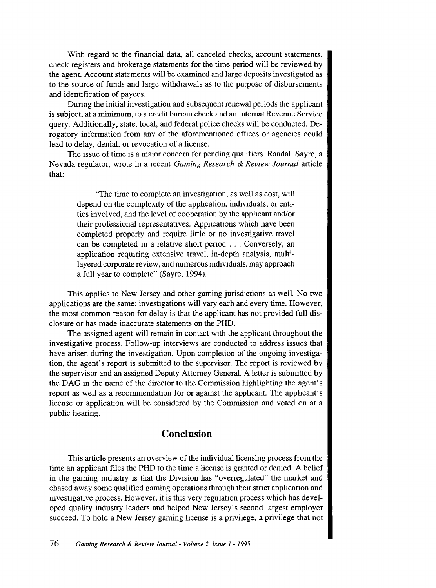With regard to the financial data, all canceled checks, account statements, check registers and brokerage statements for the time period will be reviewed by the agent. Account statements will be examined and large deposits investigated as to the source of funds and large withdrawals as to the purpose of disbursements and identification of payees.

During the initial investigation and subsequent renewal periods the applicant is subject, at a minimum, to a credit bureau check and an Internal Revenue Service query. Additionally, state, local, and federal police checks will be conducted. Derogatory information from any of the aforementioned offices or agencies could lead to delay, denial, or revocation of a license.

The issue of time is a major concern for pending qualifiers. Randall Sayre, a Nevada regulator, wrote in a recent *Gaming Research* & *Review Journal* article that:

> "The time to complete an investigation, as well as cost, will depend on the complexity of the application, individuals, or entities involved, and the level of cooperation by the applicant and/or their professional representatives. Applications which have been completed properly and require little or no investigative travel can be completed in a relative short period ... Conversely, an application requiring extensive travel, in-depth analysis, multilayered corporate review, and numerous individuals, may approach a full year to complete" (Sayre, 1994).

This applies to New Jersey and other gaming jurisdictions as well. No two applications are the same; investigations will vary each and every time. However, the most common reason for delay is that the applicant has not provided full disclosure or has made inaccurate statements on the PHD.

The assigned agent will remain in contact with the applicant throughout the investigative process. Follow-up interviews are conducted to address issues that have arisen during the investigation. Upon completion of the ongoing investigation, the agent's report is submitted to the supervisor. The report is reviewed by the supervisor and an assigned Deputy Attorney General. A letter is submitted by the DAG in the name of the director to the Commission highlighting the agent's report as well as a recommendation for or against the applicant. The applicant's license or application will be considered by the Commission and voted on at a public hearing.

# **Conclusion**

This article presents an overview of the individual licensing process from the time an applicant files the PHD to the time a license is granted or denied. A belief in the gaming industry is that the Division has "overregulated" the market and chased away some qualified gaming operations through their strict application and investigative process. However, it is this very regulation process which has developed quality industry leaders and helped New Jersey's second largest employer succeed. To hold a New Jersey gaming license is a privilege, a privilege that not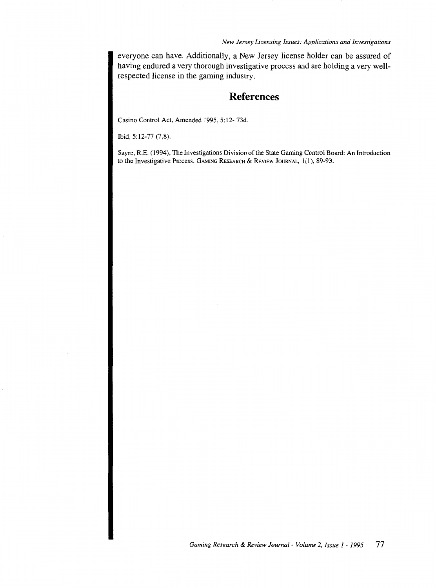#### *New Jersey Licensing Issues: Applications and Investigations*

everyone can have. Additionally, a New Jersey license holder can be assured of having endured a very thorough investigative process and are holding a very wellrespected license in the gaming industry.

# **References**

Casino Control Act, Amended 1995, 5:12-73d.

Ibid, 5:12-77 (7,8).

Sayre, R.E. (1994). The Investigations Division of the State Gaming Control Board: An Introduction to the Investigative Process. GAMING RESEARCH & REVIEW JouRNAL, 1(1), 89-93.